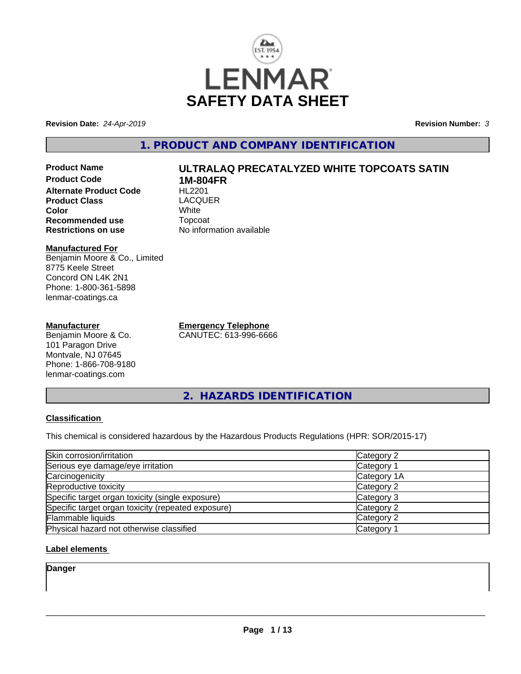

**Revision Date:** *24-Apr-2019* **Revision Number:** *3*

**1. PRODUCT AND COMPANY IDENTIFICATION**

**Product Name ULTRALAQ PRECATALYZED WHITE TOPCOATS SATIN Product Code 1M-804FR Alternate Product Code Product Class** LACQUER<br> **Color** White **Color** White White **Recommended use Topcoat Restrictions on use Theory Network** 

#### **Manufactured For** Benjamin Moore & Co., Limited 8775 Keele Street Concord ON L4K 2N1 Phone: 1-800-361-5898 lenmar-coatings.ca

#### **Manufacturer**

Benjamin Moore & Co. 101 Paragon Drive Montvale, NJ 07645 Phone: 1-866-708-9180 lenmar-coatings.com

**Emergency Telephone** CANUTEC: 613-996-6666

**No information available** 

**2. HAZARDS IDENTIFICATION**

#### **Classification**

This chemical is considered hazardous by the Hazardous Products Regulations (HPR: SOR/2015-17)

| Skin corrosion/irritation                          | Category 2  |
|----------------------------------------------------|-------------|
| Serious eye damage/eye irritation                  | Category 1  |
| Carcinogenicity                                    | Category 1A |
| Reproductive toxicity                              | Category 2  |
| Specific target organ toxicity (single exposure)   | Category 3  |
| Specific target organ toxicity (repeated exposure) | Category 2  |
| Flammable liquids                                  | Category 2  |
| Physical hazard not otherwise classified           | Category 1  |

# **Label elements**

**Danger**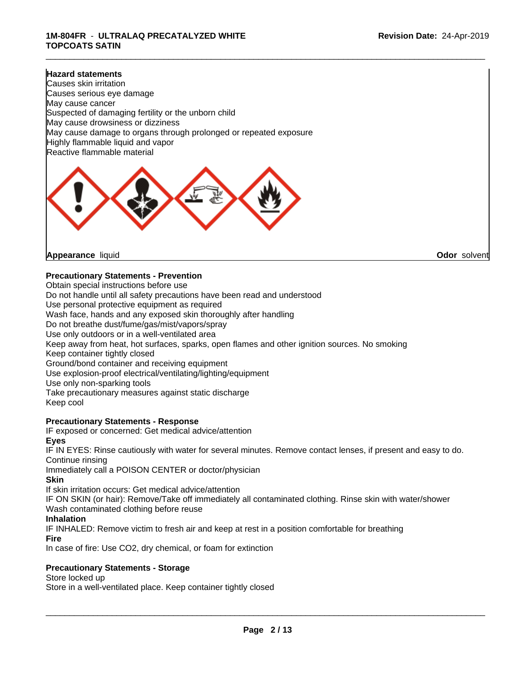#### **Hazard statements**

Causes skin irritation Causes serious eye damage May cause cancer Suspected of damaging fertility or the unborn child May cause drowsiness or dizziness May cause damage to organs through prolonged or repeated exposure Highly flammable liquid and vapor Reactive flammable material



**Appearance** liquid **Odor** solvent

#### **Precautionary Statements - Prevention**

Obtain special instructions before use Do not handle until all safety precautions have been read and understood Use personal protective equipment as required Wash face, hands and any exposed skin thoroughly after handling Do not breathe dust/fume/gas/mist/vapors/spray Use only outdoors or in a well-ventilated area Keep away from heat, hot surfaces, sparks, open flames and other ignition sources. No smoking Keep container tightly closed Ground/bond container and receiving equipment Use explosion-proof electrical/ventilating/lighting/equipment Use only non-sparking tools Take precautionary measures against static discharge Keep cool

#### **Precautionary Statements - Response**

IF exposed or concerned: Get medical advice/attention **Eyes**

IF IN EYES: Rinse cautiously with water for several minutes. Remove contact lenses, if present and easy to do. Continue rinsing

Immediately call a POISON CENTER or doctor/physician

**Skin**

If skin irritation occurs: Get medical advice/attention

IF ON SKIN (or hair): Remove/Take off immediately all contaminated clothing. Rinse skin with water/shower Wash contaminated clothing before reuse

#### **Inhalation**

IF INHALED: Remove victim to fresh air and keep at rest in a position comfortable for breathing

**Fire**

In case of fire: Use CO2, dry chemical, or foam for extinction

#### **Precautionary Statements - Storage**

Store locked up

Store in a well-ventilated place. Keep container tightly closed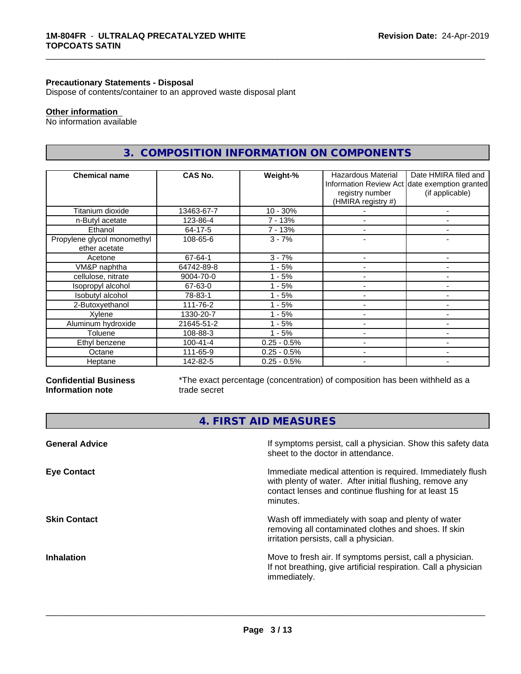#### **Precautionary Statements - Disposal**

Dispose of contents/container to an approved waste disposal plant

# **Other information**

No information available

# **3. COMPOSITION INFORMATION ON COMPONENTS**

\_\_\_\_\_\_\_\_\_\_\_\_\_\_\_\_\_\_\_\_\_\_\_\_\_\_\_\_\_\_\_\_\_\_\_\_\_\_\_\_\_\_\_\_\_\_\_\_\_\_\_\_\_\_\_\_\_\_\_\_\_\_\_\_\_\_\_\_\_\_\_\_\_\_\_\_\_\_\_\_\_\_\_\_\_\_\_\_\_\_\_\_\_

| <b>Chemical name</b>                         | CAS No.        | Weight-%      | Hazardous Material<br>registry number<br>(HMIRA registry #) | Date HMIRA filed and<br>Information Review Act date exemption granted<br>(if applicable) |
|----------------------------------------------|----------------|---------------|-------------------------------------------------------------|------------------------------------------------------------------------------------------|
| Titanium dioxide                             | 13463-67-7     | $10 - 30%$    |                                                             |                                                                                          |
| n-Butyl acetate                              | 123-86-4       | $7 - 13%$     |                                                             |                                                                                          |
| Ethanol                                      | 64-17-5        | 7 - 13%       |                                                             |                                                                                          |
| Propylene glycol monomethyl<br>ether acetate | 108-65-6       | $3 - 7%$      |                                                             | ۰                                                                                        |
| Acetone                                      | 67-64-1        | $3 - 7%$      |                                                             |                                                                                          |
| VM&P naphtha                                 | 64742-89-8     | - 5%          |                                                             |                                                                                          |
| cellulose, nitrate                           | 9004-70-0      | $1 - 5%$      |                                                             | ۰                                                                                        |
| Isopropyl alcohol                            | 67-63-0        | - 5%          |                                                             |                                                                                          |
| Isobutyl alcohol                             | 78-83-1        | - 5%          |                                                             |                                                                                          |
| 2-Butoxyethanol                              | 111-76-2       | - 5%          |                                                             | ۰                                                                                        |
| Xylene                                       | 1330-20-7      | - 5%          | $\overline{\phantom{a}}$                                    | ۰                                                                                        |
| Aluminum hydroxide                           | 21645-51-2     | - 5%          |                                                             |                                                                                          |
| Toluene                                      | 108-88-3       | $1 - 5%$      |                                                             | ۰                                                                                        |
| Ethyl benzene                                | $100 - 41 - 4$ | $0.25 - 0.5%$ |                                                             |                                                                                          |
| Octane                                       | 111-65-9       | $0.25 - 0.5%$ | $\overline{\phantom{0}}$                                    | ۰                                                                                        |
| Heptane                                      | 142-82-5       | $0.25 - 0.5%$ | $\overline{\phantom{a}}$                                    | ٠                                                                                        |

#### **Confidential Business Information note**

\*The exact percentage (concentration) of composition has been withheld as a trade secret

**4. FIRST AID MEASURES**

| If symptoms persist, call a physician. Show this safety data<br>sheet to the doctor in attendance.                                                                                         |
|--------------------------------------------------------------------------------------------------------------------------------------------------------------------------------------------|
| Immediate medical attention is required. Immediately flush<br>with plenty of water. After initial flushing, remove any<br>contact lenses and continue flushing for at least 15<br>minutes. |
| Wash off immediately with soap and plenty of water<br>removing all contaminated clothes and shoes. If skin<br>irritation persists, call a physician.                                       |
| Move to fresh air. If symptoms persist, call a physician.<br>If not breathing, give artificial respiration. Call a physician<br>immediately.                                               |
|                                                                                                                                                                                            |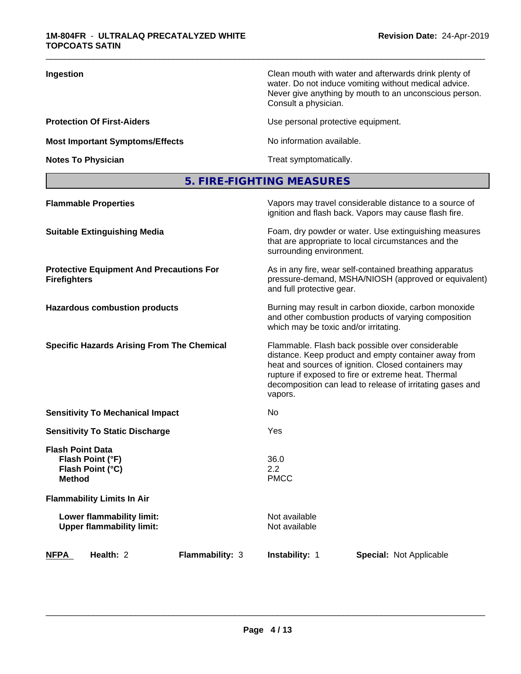| Ingestion                              | Clean mouth with water and afterwards drink plenty of<br>water. Do not induce vomiting without medical advice.<br>Never give anything by mouth to an unconscious person.<br>Consult a physician. |
|----------------------------------------|--------------------------------------------------------------------------------------------------------------------------------------------------------------------------------------------------|
| <b>Protection Of First-Aiders</b>      | Use personal protective equipment.                                                                                                                                                               |
| <b>Most Important Symptoms/Effects</b> | No information available.                                                                                                                                                                        |
| <b>Notes To Physician</b>              | Treat symptomatically.                                                                                                                                                                           |

# **5. FIRE-FIGHTING MEASURES**

| <b>Flammable Properties</b>                                                      |                 |                                       | Vapors may travel considerable distance to a source of<br>ignition and flash back. Vapors may cause flash fire.                                                                                                                                                                     |  |
|----------------------------------------------------------------------------------|-----------------|---------------------------------------|-------------------------------------------------------------------------------------------------------------------------------------------------------------------------------------------------------------------------------------------------------------------------------------|--|
| <b>Suitable Extinguishing Media</b>                                              |                 | surrounding environment.              | Foam, dry powder or water. Use extinguishing measures<br>that are appropriate to local circumstances and the                                                                                                                                                                        |  |
| <b>Protective Equipment And Precautions For</b><br><b>Firefighters</b>           |                 | and full protective gear.             | As in any fire, wear self-contained breathing apparatus<br>pressure-demand, MSHA/NIOSH (approved or equivalent)                                                                                                                                                                     |  |
| <b>Hazardous combustion products</b>                                             |                 | which may be toxic and/or irritating. | Burning may result in carbon dioxide, carbon monoxide<br>and other combustion products of varying composition                                                                                                                                                                       |  |
| <b>Specific Hazards Arising From The Chemical</b>                                |                 | vapors.                               | Flammable. Flash back possible over considerable<br>distance. Keep product and empty container away from<br>heat and sources of ignition. Closed containers may<br>rupture if exposed to fire or extreme heat. Thermal<br>decomposition can lead to release of irritating gases and |  |
| <b>Sensitivity To Mechanical Impact</b>                                          |                 | No.                                   |                                                                                                                                                                                                                                                                                     |  |
| <b>Sensitivity To Static Discharge</b>                                           |                 | Yes                                   |                                                                                                                                                                                                                                                                                     |  |
| <b>Flash Point Data</b><br>Flash Point (°F)<br>Flash Point (°C)<br><b>Method</b> |                 | 36.0<br>2.2<br><b>PMCC</b>            |                                                                                                                                                                                                                                                                                     |  |
| <b>Flammability Limits In Air</b>                                                |                 |                                       |                                                                                                                                                                                                                                                                                     |  |
| Lower flammability limit:<br><b>Upper flammability limit:</b>                    |                 | Not available<br>Not available        |                                                                                                                                                                                                                                                                                     |  |
| <b>NFPA</b><br>Health: 2                                                         | Flammability: 3 | Instability: 1                        | <b>Special: Not Applicable</b>                                                                                                                                                                                                                                                      |  |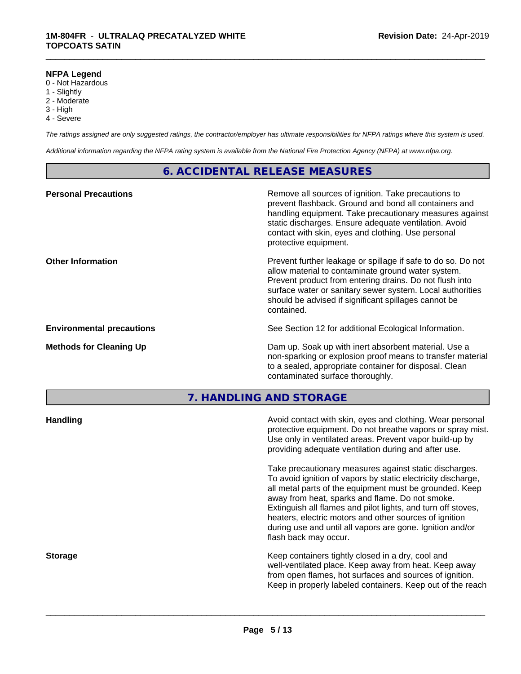#### **NFPA Legend**

- 0 Not Hazardous
- 1 Slightly
- 2 Moderate
- 3 High
- 4 Severe

*The ratings assigned are only suggested ratings, the contractor/employer has ultimate responsibilities for NFPA ratings where this system is used.*

\_\_\_\_\_\_\_\_\_\_\_\_\_\_\_\_\_\_\_\_\_\_\_\_\_\_\_\_\_\_\_\_\_\_\_\_\_\_\_\_\_\_\_\_\_\_\_\_\_\_\_\_\_\_\_\_\_\_\_\_\_\_\_\_\_\_\_\_\_\_\_\_\_\_\_\_\_\_\_\_\_\_\_\_\_\_\_\_\_\_\_\_\_

*Additional information regarding the NFPA rating system is available from the National Fire Protection Agency (NFPA) at www.nfpa.org.*

# **6. ACCIDENTAL RELEASE MEASURES**

| <b>Personal Precautions</b>      | Remove all sources of ignition. Take precautions to<br>prevent flashback. Ground and bond all containers and<br>handling equipment. Take precautionary measures against<br>static discharges. Ensure adequate ventilation. Avoid<br>contact with skin, eyes and clothing. Use personal<br>protective equipment.  |
|----------------------------------|------------------------------------------------------------------------------------------------------------------------------------------------------------------------------------------------------------------------------------------------------------------------------------------------------------------|
| <b>Other Information</b>         | Prevent further leakage or spillage if safe to do so. Do not<br>allow material to contaminate ground water system.<br>Prevent product from entering drains. Do not flush into<br>surface water or sanitary sewer system. Local authorities<br>should be advised if significant spillages cannot be<br>contained. |
| <b>Environmental precautions</b> | See Section 12 for additional Ecological Information.                                                                                                                                                                                                                                                            |
| <b>Methods for Cleaning Up</b>   | Dam up. Soak up with inert absorbent material. Use a<br>non-sparking or explosion proof means to transfer material<br>to a sealed, appropriate container for disposal. Clean<br>contaminated surface thoroughly.                                                                                                 |

**7. HANDLING AND STORAGE**

| <b>Handling</b> | Avoid contact with skin, eyes and clothing. Wear personal<br>protective equipment. Do not breathe vapors or spray mist.<br>Use only in ventilated areas. Prevent vapor build-up by<br>providing adequate ventilation during and after use.                                                                                                                                                                                                           |
|-----------------|------------------------------------------------------------------------------------------------------------------------------------------------------------------------------------------------------------------------------------------------------------------------------------------------------------------------------------------------------------------------------------------------------------------------------------------------------|
|                 | Take precautionary measures against static discharges.<br>To avoid ignition of vapors by static electricity discharge,<br>all metal parts of the equipment must be grounded. Keep<br>away from heat, sparks and flame. Do not smoke.<br>Extinguish all flames and pilot lights, and turn off stoves,<br>heaters, electric motors and other sources of ignition<br>during use and until all vapors are gone. Ignition and/or<br>flash back may occur. |
| <b>Storage</b>  | Keep containers tightly closed in a dry, cool and<br>well-ventilated place. Keep away from heat. Keep away<br>from open flames, hot surfaces and sources of ignition.<br>Keep in properly labeled containers. Keep out of the reach                                                                                                                                                                                                                  |
|                 |                                                                                                                                                                                                                                                                                                                                                                                                                                                      |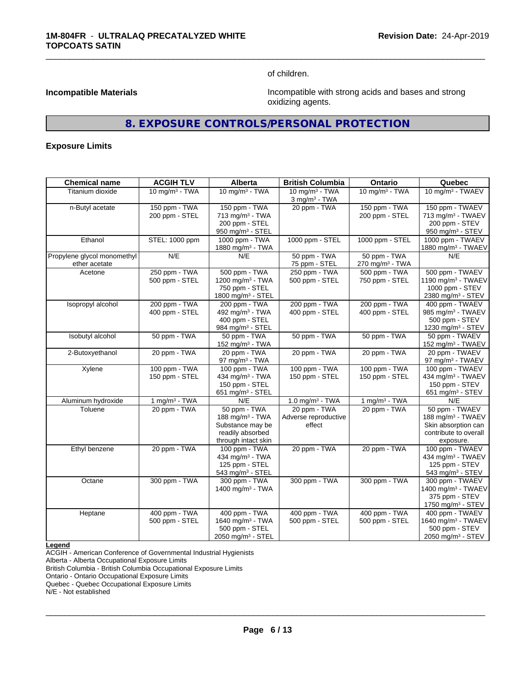of children.

\_\_\_\_\_\_\_\_\_\_\_\_\_\_\_\_\_\_\_\_\_\_\_\_\_\_\_\_\_\_\_\_\_\_\_\_\_\_\_\_\_\_\_\_\_\_\_\_\_\_\_\_\_\_\_\_\_\_\_\_\_\_\_\_\_\_\_\_\_\_\_\_\_\_\_\_\_\_\_\_\_\_\_\_\_\_\_\_\_\_\_\_\_

**Incompatible Materials Incompatible Materials Incompatible with strong acids and bases and strong** oxidizing agents.

# **8. EXPOSURE CONTROLS/PERSONAL PROTECTION**

#### **Exposure Limits**

| <b>Chemical name</b>                         | <b>ACGIH TLV</b>                | Alberta                                                                                           | <b>British Columbia</b>                        | Ontario                                     | Quebec                                                                                                       |
|----------------------------------------------|---------------------------------|---------------------------------------------------------------------------------------------------|------------------------------------------------|---------------------------------------------|--------------------------------------------------------------------------------------------------------------|
| Titanium dioxide                             | 10 mg/m $3$ - TWA               | 10 mg/m $3$ - TWA                                                                                 | 10 mg/m $3$ - TWA<br>$3$ mg/m $3$ - TWA        | 10 mg/m $3$ - TWA                           | 10 mg/m <sup>3</sup> - TWAEV                                                                                 |
| n-Butyl acetate                              | 150 ppm - TWA<br>200 ppm - STEL | 150 ppm - TWA<br>713 mg/m <sup>3</sup> - TWA<br>200 ppm - STEL<br>950 mg/m <sup>3</sup> - STEL    | 20 ppm - TWA                                   | 150 ppm - TWA<br>200 ppm - STEL             | 150 ppm - TWAEV<br>713 mg/m <sup>3</sup> - TWAEV<br>200 ppm - STEV<br>950 mg/m <sup>3</sup> - STEV           |
| Ethanol                                      | STEL: 1000 ppm                  | 1000 ppm - TWA<br>1880 mg/m <sup>3</sup> - TWA                                                    | 1000 ppm - STEL                                | 1000 ppm - STEL                             | 1000 ppm - TWAEV<br>1880 mg/m <sup>3</sup> - TWAEV                                                           |
| Propylene glycol monomethyl<br>ether acetate | N/E                             | N/E                                                                                               | 50 ppm - TWA<br>75 ppm - STEL                  | 50 ppm - TWA<br>270 mg/m <sup>3</sup> - TWA | N/E                                                                                                          |
| Acetone                                      | 250 ppm - TWA<br>500 ppm - STEL | 500 ppm - TWA<br>1200 mg/m <sup>3</sup> - TWA<br>750 ppm - STEL<br>1800 mg/m <sup>3</sup> - STEL  | 250 ppm - TWA<br>500 ppm - STEL                | 500 ppm - TWA<br>750 ppm - STEL             | 500 ppm - TWAEV<br>1190 mg/m <sup>3</sup> - TWAEV<br>1000 ppm - STEV<br>2380 mg/m <sup>3</sup> - STEV        |
| Isopropyl alcohol                            | 200 ppm - TWA<br>400 ppm - STEL | 200 ppm - TWA<br>492 mg/m <sup>3</sup> - TWA<br>400 ppm - STEL<br>984 mg/m <sup>3</sup> - STEL    | 200 ppm - TWA<br>400 ppm - STEL                | 200 ppm - TWA<br>400 ppm - STEL             | 400 ppm - TWAEV<br>985 mg/m <sup>3</sup> - TWAEV<br>500 ppm - STEV<br>1230 mg/m <sup>3</sup> - STEV          |
| Isobutyl alcohol                             | 50 ppm - TWA                    | 50 ppm - TWA<br>152 mg/m $3$ - TWA                                                                | 50 ppm - TWA                                   | 50 ppm - TWA                                | 50 ppm - TWAEV<br>152 mg/m <sup>3</sup> - TWAEV                                                              |
| 2-Butoxyethanol                              | 20 ppm - TWA                    | 20 ppm - TWA<br>97 mg/m $3$ - TWA                                                                 | 20 ppm - TWA                                   | 20 ppm - TWA                                | 20 ppm - TWAEV<br>97 mg/m <sup>3</sup> - TWAEV                                                               |
| Xylene                                       | 100 ppm - TWA<br>150 ppm - STEL | 100 ppm - TWA<br>434 mg/m <sup>3</sup> - TWA<br>150 ppm - STEL<br>651 mg/m $3 -$ STEL             | 100 ppm - TWA<br>150 ppm - STEL                | 100 ppm - TWA<br>150 ppm - STEL             | 100 ppm - TWAEV<br>434 mg/m <sup>3</sup> - TWAEV<br>150 ppm - STEV<br>651 mg/m <sup>3</sup> - STEV           |
| Aluminum hydroxide                           | 1 mg/m $3$ - TWA                | N/E                                                                                               | 1.0 mg/m $3$ - TWA                             | 1 mg/m $3$ - TWA                            | N/E                                                                                                          |
| Toluene                                      | 20 ppm - TWA                    | 50 ppm - TWA<br>188 mg/m $3$ - TWA<br>Substance may be<br>readily absorbed<br>through intact skin | 20 ppm - TWA<br>Adverse reproductive<br>effect | 20 ppm - TWA                                | 50 ppm - TWAEV<br>188 mg/m <sup>3</sup> - TWAEV<br>Skin absorption can<br>contribute to overall<br>exposure. |
| Ethyl benzene                                | 20 ppm - TWA                    | 100 ppm - TWA<br>434 mg/m <sup>3</sup> - TWA<br>125 ppm - STEL<br>543 mg/m <sup>3</sup> - STEL    | 20 ppm - TWA                                   | 20 ppm - TWA                                | 100 ppm - TWAEV<br>434 mg/m <sup>3</sup> - TWAEV<br>125 ppm - STEV<br>543 mg/m <sup>3</sup> - STEV           |
| Octane                                       | 300 ppm - TWA                   | 300 ppm - TWA<br>1400 mg/m <sup>3</sup> - TWA                                                     | 300 ppm - TWA                                  | 300 ppm - TWA                               | 300 ppm - TWAEV<br>1400 mg/m <sup>3</sup> - TWAEV<br>375 ppm - STEV<br>1750 mg/m <sup>3</sup> - STEV         |
| Heptane                                      | 400 ppm - TWA<br>500 ppm - STEL | 400 ppm - TWA<br>1640 mg/m <sup>3</sup> - TWA<br>500 ppm - STEL<br>2050 mg/m <sup>3</sup> - STEL  | 400 ppm - TWA<br>500 ppm - STEL                | 400 ppm - TWA<br>500 ppm - STEL             | 400 ppm - TWAEV<br>1640 mg/m <sup>3</sup> - TWAEV<br>500 ppm - STEV<br>2050 mg/m <sup>3</sup> - STEV         |

**Legend**

ACGIH - American Conference of Governmental Industrial Hygienists

Alberta - Alberta Occupational Exposure Limits

British Columbia - British Columbia Occupational Exposure Limits

Ontario - Ontario Occupational Exposure Limits

Quebec - Quebec Occupational Exposure Limits

N/E - Not established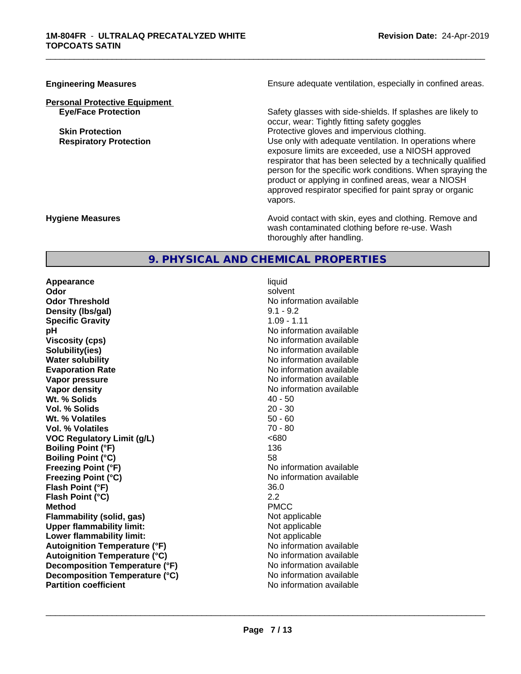# **Personal Protective Equipment**

**Engineering Measures Ensure adequate ventilation, especially in confined areas.** 

\_\_\_\_\_\_\_\_\_\_\_\_\_\_\_\_\_\_\_\_\_\_\_\_\_\_\_\_\_\_\_\_\_\_\_\_\_\_\_\_\_\_\_\_\_\_\_\_\_\_\_\_\_\_\_\_\_\_\_\_\_\_\_\_\_\_\_\_\_\_\_\_\_\_\_\_\_\_\_\_\_\_\_\_\_\_\_\_\_\_\_\_\_

**Eye/Face Protection** Safety glasses with side-shields. If splashes are likely to occur, wear: Tightly fitting safety goggles **Skin Protection Protection** Protective gloves and impervious clothing. **Respiratory Protection Number 1** (Use only with adequate ventilation. In operations where exposure limits are exceeded, use a NIOSH approved respirator that has been selected by a technically qualified person for the specific work conditions. When spraying the product or applying in confined areas, wear a NIOSH approved respirator specified for paint spray or organic vapors.

**Hygiene Measures Avoid contact with skin, eyes and clothing. Remove and Avoid contact with skin, eyes and clothing. Remove and Avoid contact with skin, eyes and clothing. Remove and** wash contaminated clothing before re-use. Wash thoroughly after handling.

# **9. PHYSICAL AND CHEMICAL PROPERTIES**

**Appearance** liquid **Odor** solvent **Odor Threshold No information available No information available Density (lbs/gal)** 9.1 - 9.2 **Specific Gravity** 1.09 - 1.11 **pH** No information available **Viscosity (cps)** No information available Notice 1, 1999 **Solubility(ies)** No information available in the solution of the solution of the solution available in the solution of the solution of the solution of the solution of the solution of the solution of the solution of the so **Water solubility**<br> **Evaporation Rate**<br> **Evaporation Rate**<br> **Evaporation Rate Vapor pressure** No information available **No information** available **Vapor density**<br> **We Solids**<br>
We Solid Wi, % Solids
2019 **Wt. % Solids 40 - 50<br>
<b>Vol. % Solids** 20 - 30 **Vol. % Solids Wt. % Volatiles** 50 - 60<br> **Vol. % Volatiles** 50 - 60 **Vol. % Volatiles VOC** Requlatory Limit (q/L)  $\leq 680$ **Boiling Point (°F)** 136 **Boiling Point (°C)** 58 **Freezing Point (°F)** No information available **Freezing Point (°C)** No information available **Flash Point (°F)** 36.0 **Flash Point (°C)** 2.2 **Method** PMCC **Flammability (solid, gas)** Not applicable **Upper flammability limit:** Not applicable **Lower flammability limit:** Not applicable **Autoignition Temperature (°F)** No information available **Autoignition Temperature (°C)** No information available **Decomposition Temperature (°F)** No information available **Decomposition Temperature (°C)** No information available<br> **Partition coefficient Partition available** 

**Evaporation Rate** No information available **No information available**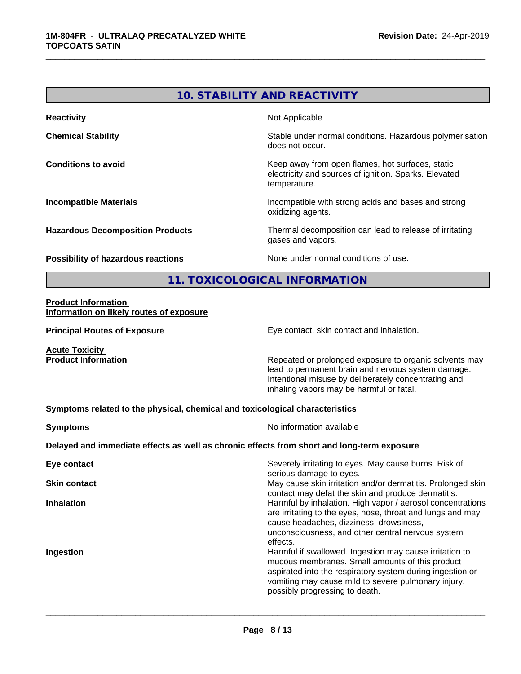# **10. STABILITY AND REACTIVITY Reactivity** Not Applicable **Chemical Stability Chemical Stability** Stable under normal conditions. Hazardous polymerisation does not occur. **Conditions to avoid Conditions to avoid Keep away from open flames, hot surfaces, static** electricity and sources of ignition. Sparks. Elevated temperature. **Incompatible Materials Incompatible with strong acids and bases and strong** oxidizing agents. **Hazardous Decomposition Products** Thermal decomposition can lead to release of irritating gases and vapors. **Possibility of hazardous reactions** None under normal conditions of use. **11. TOXICOLOGICAL INFORMATION Product Information**

\_\_\_\_\_\_\_\_\_\_\_\_\_\_\_\_\_\_\_\_\_\_\_\_\_\_\_\_\_\_\_\_\_\_\_\_\_\_\_\_\_\_\_\_\_\_\_\_\_\_\_\_\_\_\_\_\_\_\_\_\_\_\_\_\_\_\_\_\_\_\_\_\_\_\_\_\_\_\_\_\_\_\_\_\_\_\_\_\_\_\_\_\_

# **Information on likely routes of exposure**

**Principal Routes of Exposure Exposure** Eye contact, skin contact and inhalation.

**Acute Toxicity** 

**Product Information Repeated or prolonged exposure to organic solvents may** Repeated or prolonged exposure to organic solvents may lead to permanent brain and nervous system damage. Intentional misuse by deliberately concentrating and inhaling vapors may be harmful or fatal.

#### **Symptoms related to the physical,chemical and toxicological characteristics**

| Severely irritating to eyes. May cause burns. Risk of<br>serious damage to eyes.<br>May cause skin irritation and/or dermatitis. Prolonged skin<br>contact may defat the skin and produce dermatitis.<br>Harmful by inhalation. High vapor / aerosol concentrations<br>are irritating to the eyes, nose, throat and lungs and may<br>cause headaches, dizziness, drowsiness,<br>unconsciousness, and other central nervous system<br>effects.<br>Harmful if swallowed. Ingestion may cause irritation to<br>mucous membranes. Small amounts of this product<br>aspirated into the respiratory system during ingestion or<br>vomiting may cause mild to severe pulmonary injury,<br>possibly progressing to death. | <b>Symptoms</b>                                                                            | No information available |  |  |
|-------------------------------------------------------------------------------------------------------------------------------------------------------------------------------------------------------------------------------------------------------------------------------------------------------------------------------------------------------------------------------------------------------------------------------------------------------------------------------------------------------------------------------------------------------------------------------------------------------------------------------------------------------------------------------------------------------------------|--------------------------------------------------------------------------------------------|--------------------------|--|--|
|                                                                                                                                                                                                                                                                                                                                                                                                                                                                                                                                                                                                                                                                                                                   | Delayed and immediate effects as well as chronic effects from short and long-term exposure |                          |  |  |
|                                                                                                                                                                                                                                                                                                                                                                                                                                                                                                                                                                                                                                                                                                                   | Eye contact                                                                                |                          |  |  |
|                                                                                                                                                                                                                                                                                                                                                                                                                                                                                                                                                                                                                                                                                                                   | <b>Skin contact</b>                                                                        |                          |  |  |
|                                                                                                                                                                                                                                                                                                                                                                                                                                                                                                                                                                                                                                                                                                                   | <b>Inhalation</b>                                                                          |                          |  |  |
|                                                                                                                                                                                                                                                                                                                                                                                                                                                                                                                                                                                                                                                                                                                   | Ingestion                                                                                  |                          |  |  |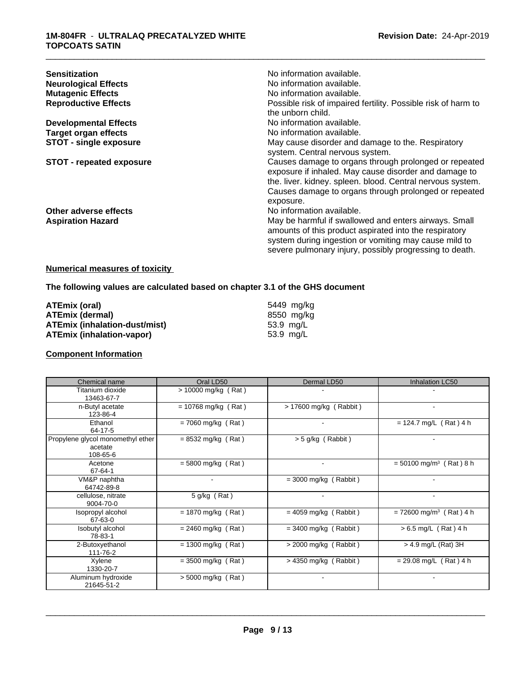| <b>Sensitization</b><br><b>Neurological Effects</b><br><b>Mutagenic Effects</b><br><b>Reproductive Effects</b> | No information available.<br>No information available.<br>No information available.<br>Possible risk of impaired fertility. Possible risk of harm to<br>the unborn child.                                                                          |
|----------------------------------------------------------------------------------------------------------------|----------------------------------------------------------------------------------------------------------------------------------------------------------------------------------------------------------------------------------------------------|
| <b>Developmental Effects</b>                                                                                   | No information available.                                                                                                                                                                                                                          |
| <b>Target organ effects</b>                                                                                    | No information available.                                                                                                                                                                                                                          |
| <b>STOT - single exposure</b>                                                                                  | May cause disorder and damage to the. Respiratory<br>system. Central nervous system.                                                                                                                                                               |
| STOT - repeated exposure                                                                                       | Causes damage to organs through prolonged or repeated<br>exposure if inhaled. May cause disorder and damage to<br>the. liver. kidney. spleen. blood. Central nervous system.<br>Causes damage to organs through prolonged or repeated<br>exposure. |
| Other adverse effects                                                                                          | No information available.                                                                                                                                                                                                                          |
| <b>Aspiration Hazard</b>                                                                                       | May be harmful if swallowed and enters airways. Small<br>amounts of this product aspirated into the respiratory<br>system during ingestion or vomiting may cause mild to<br>severe pulmonary injury, possibly progressing to death.                |

#### **Numerical measures of toxicity**

# **The following values are calculated based on chapter 3.1 of the GHS document**

| ATEmix (oral)                        | 5449 mg/ka |
|--------------------------------------|------------|
| <b>ATEmix (dermal)</b>               | 8550 mg/ka |
| <b>ATEmix (inhalation-dust/mist)</b> | 53.9 ma/L  |
| ATEmix (inhalation-vapor)            | 53.9 mg/L  |

### **Component Information**

| Chemical name                                            | Oral LD50             | Dermal LD50              | Inhalation LC50                       |
|----------------------------------------------------------|-----------------------|--------------------------|---------------------------------------|
| Titanium dioxide<br>13463-67-7                           | > 10000 mg/kg (Rat)   |                          |                                       |
| n-Butyl acetate<br>123-86-4                              | $= 10768$ mg/kg (Rat) | $> 17600$ mg/kg (Rabbit) | $\overline{\phantom{0}}$              |
| Ethanol<br>64-17-5                                       | $= 7060$ mg/kg (Rat)  | $\overline{\phantom{a}}$ | $= 124.7$ mg/L (Rat) 4 h              |
| Propylene glycol monomethyl ether<br>acetate<br>108-65-6 | $= 8532$ mg/kg (Rat)  | > 5 g/kg (Rabbit)        |                                       |
| Acetone<br>67-64-1                                       | $= 5800$ mg/kg (Rat)  | $\blacksquare$           | $= 50100$ mg/m <sup>3</sup> (Rat) 8 h |
| VM&P naphtha<br>64742-89-8                               |                       | $= 3000$ mg/kg (Rabbit)  |                                       |
| cellulose, nitrate<br>9004-70-0                          | 5 g/kg (Rat)          |                          |                                       |
| Isopropyl alcohol<br>67-63-0                             | $= 1870$ mg/kg (Rat)  | $= 4059$ mg/kg (Rabbit)  | $= 72600$ mg/m <sup>3</sup> (Rat) 4 h |
| Isobutyl alcohol<br>78-83-1                              | $= 2460$ mg/kg (Rat)  | $=$ 3400 mg/kg (Rabbit)  | $> 6.5$ mg/L (Rat) 4 h                |
| 2-Butoxyethanol<br>111-76-2                              | $= 1300$ mg/kg (Rat)  | $>$ 2000 mg/kg (Rabbit)  | > 4.9 mg/L (Rat) 3H                   |
| Xylene<br>1330-20-7                                      | $=$ 3500 mg/kg (Rat)  | $>$ 4350 mg/kg (Rabbit)  | $= 29.08$ mg/L (Rat) 4 h              |
| Aluminum hydroxide<br>21645-51-2                         | $> 5000$ mg/kg (Rat)  | $\overline{\phantom{a}}$ | ٠                                     |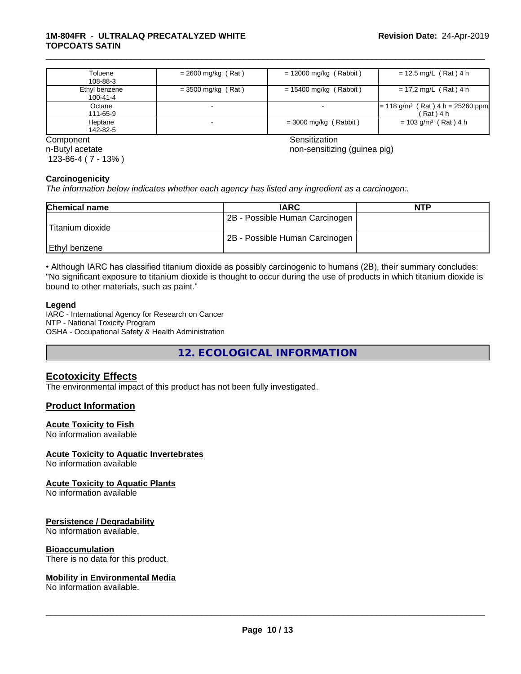#### **1M-804FR** - **ULTRALAQ PRECATALYZED WHITE TOPCOATS SATIN**

| Toluene<br>108-88-3       | $= 2600$ mg/kg (Rat) | $= 12000$ mg/kg (Rabbit) | $= 12.5$ mg/L (Rat) 4 h                                         |
|---------------------------|----------------------|--------------------------|-----------------------------------------------------------------|
| Ethyl benzene<br>100-41-4 | = 3500 mg/kg (Rat)   | = 15400 mg/kg (Rabbit)   | $= 17.2$ mg/L (Rat) 4 h                                         |
| Octane<br>111-65-9        |                      |                          | $= 118$ g/m <sup>3</sup> (Rat) 4 h = 25260 ppm<br>$'$ Rat ) 4 h |
| Heptane<br>142-82-5       |                      | $=$ 3000 mg/kg (Rabbit)  | $= 103$ g/m <sup>3</sup> (Rat) 4 h                              |

n-Butyl acetate 123-86-4 ( 7 - 13% )

**Component** Component Sensitization Component Sensitization Sensitization Sensitization

\_\_\_\_\_\_\_\_\_\_\_\_\_\_\_\_\_\_\_\_\_\_\_\_\_\_\_\_\_\_\_\_\_\_\_\_\_\_\_\_\_\_\_\_\_\_\_\_\_\_\_\_\_\_\_\_\_\_\_\_\_\_\_\_\_\_\_\_\_\_\_\_\_\_\_\_\_\_\_\_\_\_\_\_\_\_\_\_\_\_\_\_\_

non-sensitizing (guinea pig)

#### **Carcinogenicity**

*The information below indicateswhether each agency has listed any ingredient as a carcinogen:.*

| <b>Chemical name</b> | <b>IARC</b>                    | <b>NTP</b> |
|----------------------|--------------------------------|------------|
|                      | 2B - Possible Human Carcinogen |            |
| Titanium dioxide     |                                |            |
|                      | 2B - Possible Human Carcinogen |            |
| Ethyl benzene        |                                |            |

• Although IARC has classified titanium dioxide as possibly carcinogenic to humans (2B), their summary concludes: "No significant exposure to titanium dioxide is thought to occur during the use of products in which titanium dioxide is bound to other materials, such as paint."

#### **Legend**

IARC - International Agency for Research on Cancer NTP - National Toxicity Program OSHA - Occupational Safety & Health Administration

**12. ECOLOGICAL INFORMATION**

# **Ecotoxicity Effects**

The environmental impact of this product has not been fully investigated.

#### **Product Information**

#### **Acute Toxicity to Fish**

No information available

#### **Acute Toxicity to Aquatic Invertebrates**

No information available

#### **Acute Toxicity to Aquatic Plants**

No information available

#### **Persistence / Degradability**

No information available.

#### **Bioaccumulation**

There is no data for this product.

#### **Mobility in Environmental Media**

No information available.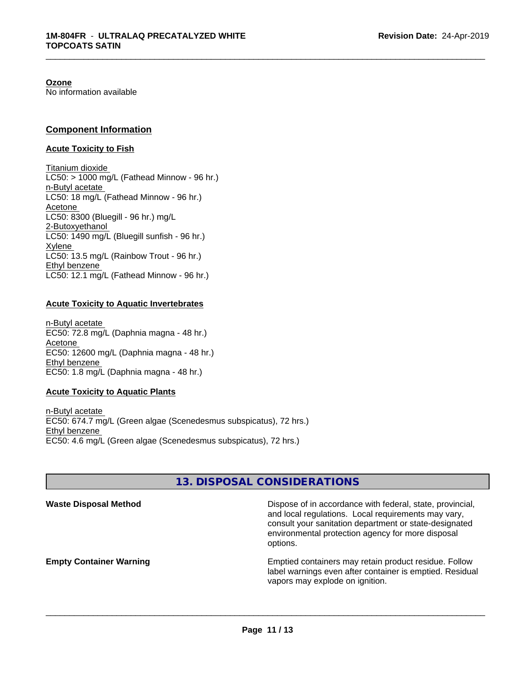#### **Ozone**

No information available

### **Component Information**

#### **Acute Toxicity to Fish**

Titanium dioxide  $LC50:$  > 1000 mg/L (Fathead Minnow - 96 hr.) n-Butyl acetate LC50: 18 mg/L (Fathead Minnow - 96 hr.) Acetone LC50: 8300 (Bluegill - 96 hr.) mg/L 2-Butoxyethanol LC50: 1490 mg/L (Bluegill sunfish - 96 hr.) Xylene LC50: 13.5 mg/L (Rainbow Trout - 96 hr.) Ethyl benzene LC50: 12.1 mg/L (Fathead Minnow - 96 hr.)

#### **Acute Toxicity to Aquatic Invertebrates**

n-Butyl acetate EC50: 72.8 mg/L (Daphnia magna - 48 hr.) Acetone EC50: 12600 mg/L (Daphnia magna - 48 hr.) Ethyl benzene EC50: 1.8 mg/L (Daphnia magna - 48 hr.)

#### **Acute Toxicity to Aquatic Plants**

n-Butyl acetate EC50: 674.7 mg/L (Green algae (Scenedesmus subspicatus), 72 hrs.) Ethyl benzene EC50: 4.6 mg/L (Green algae (Scenedesmus subspicatus), 72 hrs.)

# **13. DISPOSAL CONSIDERATIONS**

| <b>Waste Disposal Method</b>   | Dispose of in accordance with federal, state, provincial,<br>and local regulations. Local requirements may vary,<br>consult your sanitation department or state-designated<br>environmental protection agency for more disposal<br>options. |
|--------------------------------|---------------------------------------------------------------------------------------------------------------------------------------------------------------------------------------------------------------------------------------------|
| <b>Empty Container Warning</b> | Emptied containers may retain product residue. Follow<br>label warnings even after container is emptied. Residual<br>vapors may explode on ignition.                                                                                        |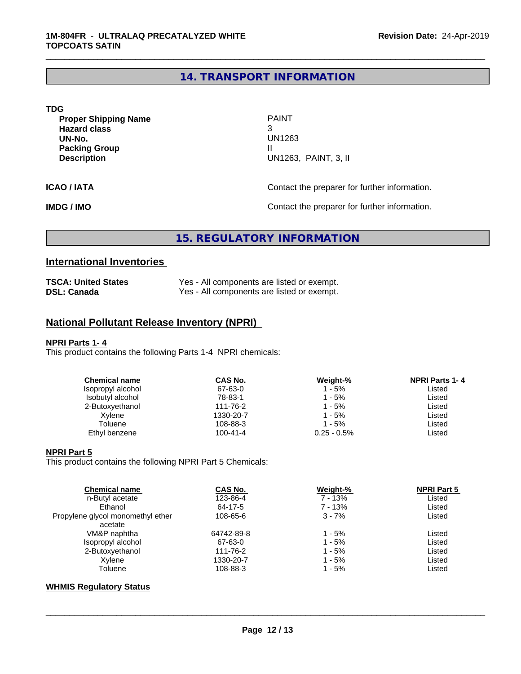# **14. TRANSPORT INFORMATION**

\_\_\_\_\_\_\_\_\_\_\_\_\_\_\_\_\_\_\_\_\_\_\_\_\_\_\_\_\_\_\_\_\_\_\_\_\_\_\_\_\_\_\_\_\_\_\_\_\_\_\_\_\_\_\_\_\_\_\_\_\_\_\_\_\_\_\_\_\_\_\_\_\_\_\_\_\_\_\_\_\_\_\_\_\_\_\_\_\_\_\_\_\_

| <b>TDG</b>                  |                                               |
|-----------------------------|-----------------------------------------------|
| <b>Proper Shipping Name</b> | <b>PAINT</b>                                  |
| <b>Hazard class</b>         | 3                                             |
| UN-No.                      | UN1263                                        |
| <b>Packing Group</b>        |                                               |
| <b>Description</b>          | UN1263, PAINT, 3, II                          |
| ICAO / IATA                 | Contact the preparer for further information. |
|                             |                                               |

**IMDG / IMO Contact the preparer for further information.** 

# **15. REGULATORY INFORMATION**

# **International Inventories**

| <b>TSCA: United States</b> | Yes - All components are listed or exempt. |
|----------------------------|--------------------------------------------|
| <b>DSL: Canada</b>         | Yes - All components are listed or exempt. |

# **National Pollutant Release Inventory (NPRI)**

#### **NPRI Parts 1- 4**

This product contains the following Parts 1-4 NPRI chemicals:

| Chemical name     | CAS No.        | Weight-%       | <b>NPRI Parts 1-4</b> |
|-------------------|----------------|----------------|-----------------------|
| Isopropyl alcohol | 67-63-0        | 1 - 5%         | Listed                |
| Isobutyl alcohol  | 78-83-1        | 1 - 5%         | Listed                |
| 2-Butoxyethanol   | 111-76-2       | 1 - 5%         | ∟isted                |
| Xylene            | 1330-20-7      | 1 - 5%         | ∟isted                |
| Toluene           | 108-88-3       | 1 - 5%         | Listed                |
| Ethyl benzene     | $100 - 41 - 4$ | $0.25 - 0.5\%$ | Listed                |
|                   |                |                |                       |

#### **NPRI Part 5**

This product contains the following NPRI Part 5 Chemicals:

| <b>Chemical name</b>              | <b>CAS No.</b> | Weight-%  | <b>NPRI Part 5</b> |  |
|-----------------------------------|----------------|-----------|--------------------|--|
| n-Butyl acetate                   | 123-86-4       | $7 - 13%$ | Listed             |  |
| Ethanol                           | 64-17-5        | 7 - 13%   | Listed             |  |
| Propylene glycol monomethyl ether | 108-65-6       | $3 - 7%$  | Listed             |  |
| acetate                           |                |           |                    |  |
| VM&P naphtha                      | 64742-89-8     | 1 - 5%    | Listed             |  |
| Isopropyl alcohol                 | 67-63-0        | $1 - 5%$  | Listed             |  |
| 2-Butoxyethanol                   | 111-76-2       | $1 - 5%$  | Listed             |  |
| Xvlene                            | 1330-20-7      | $1 - 5%$  | Listed             |  |
| Toluene                           | 108-88-3       | 1 - 5%    | Listed             |  |
|                                   |                |           |                    |  |

### **WHMIS Regulatory Status**